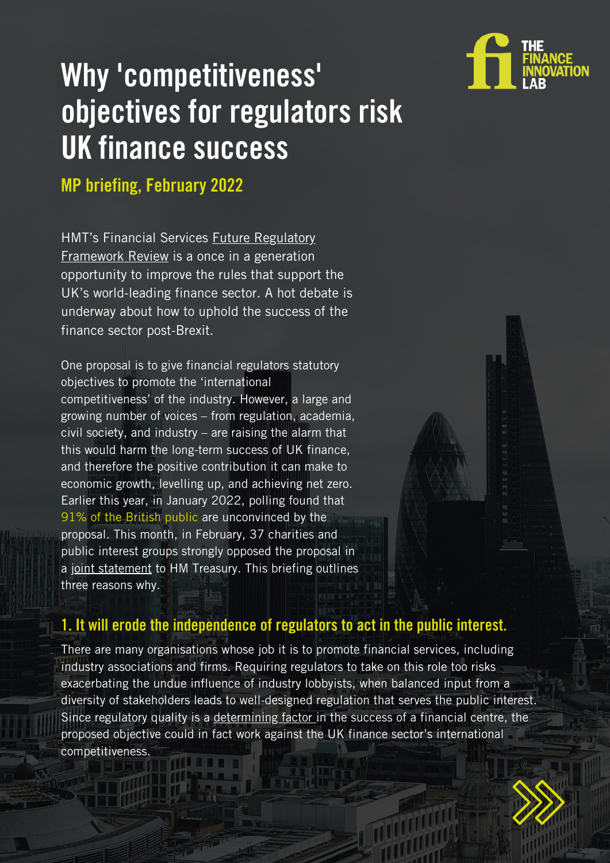

# Why 'competitiveness' objectives for regulators risk UK finance success

MP briefing, February 2022

HMT's Financial Services **Future Regulatory [Framework](https://www.gov.uk/government/consultations/future-regulatory-framework-frf-review-proposals-for-reform?utm_medium=email&utm_campaign=govuk-notifications&utm_source=e419a515-0f4c-4423-aa83-bfe942e16b1a&utm_content=immediately) Review** is a once in a generation opportunity to improve the rules that support the UK's world-leading finance sector. A hot debate is underway about how to uphold the success of the finance sector post-Brexit.

One proposal is to give financial regulators statutory objectives to promote the 'international competitiveness' of the industry. However, a large and growing number of voices – from regulation, academia, civil society, and industry – are raising the alarm that this would harm the long-term success of UK finance, and therefore the positive contribution it can make to economic growth, levelling up, and achieving net zero. Earlier this year, in January 2022, polling found that 91% of the British public are unconvinced by the proposal. This month, in February, 37 charities and public interest groups strongly opposed the proposal in a joint [statement](https://financeinnovationlab.org/insights/financial-services-future-regulatory-framework-joint-statement/) to HM Treasury. This briefing outlines three reasons why.



## 1. It will erode the independence of regulators to act in the public interest.

There are many organisations whose job it is to promote financial services, including industry associations and firms. Requiring regulators to take on this role too risks exacerbating the undue influence of industry lobbyists, when balanced input from a diversity of stakeholders leads to well-designed regulation that serves the public interest. Since regulatory quality is a determining factor in the success of a financial centre, the proposed objective could in fact work against the UK finance sector's international competitiveness.